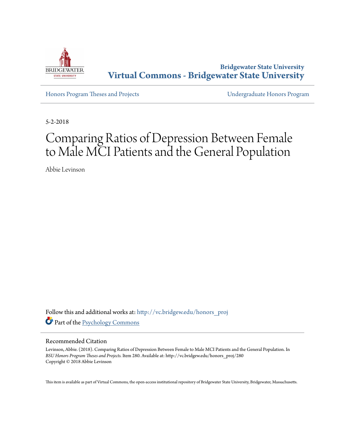

**Bridgewater State University [Virtual Commons - Bridgewater State University](http://vc.bridgew.edu?utm_source=vc.bridgew.edu%2Fhonors_proj%2F280&utm_medium=PDF&utm_campaign=PDFCoverPages)**

[Honors Program Theses and Projects](http://vc.bridgew.edu/honors_proj?utm_source=vc.bridgew.edu%2Fhonors_proj%2F280&utm_medium=PDF&utm_campaign=PDFCoverPages) [Undergraduate Honors Program](http://vc.bridgew.edu/honors?utm_source=vc.bridgew.edu%2Fhonors_proj%2F280&utm_medium=PDF&utm_campaign=PDFCoverPages)

5-2-2018

# Comparing Ratios of Depression Between Female to Male MCI Patients and the General Population

Abbie Levinson

Follow this and additional works at: [http://vc.bridgew.edu/honors\\_proj](http://vc.bridgew.edu/honors_proj?utm_source=vc.bridgew.edu%2Fhonors_proj%2F280&utm_medium=PDF&utm_campaign=PDFCoverPages) Part of the [Psychology Commons](http://network.bepress.com/hgg/discipline/404?utm_source=vc.bridgew.edu%2Fhonors_proj%2F280&utm_medium=PDF&utm_campaign=PDFCoverPages)

## Recommended Citation

Levinson, Abbie. (2018). Comparing Ratios of Depression Between Female to Male MCI Patients and the General Population. In *BSU Honors Program Theses and Projects.* Item 280. Available at: http://vc.bridgew.edu/honors\_proj/280 Copyright © 2018 Abbie Levinson

This item is available as part of Virtual Commons, the open-access institutional repository of Bridgewater State University, Bridgewater, Massachusetts.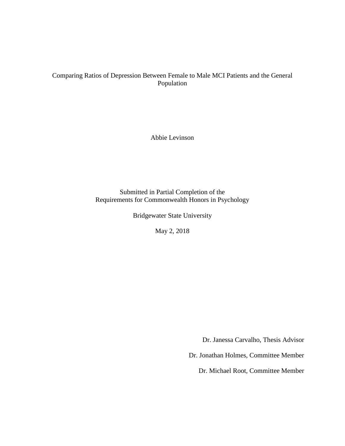# Comparing Ratios of Depression Between Female to Male MCI Patients and the General Population

Abbie Levinson

Submitted in Partial Completion of the Requirements for Commonwealth Honors in Psychology

Bridgewater State University

May 2, 2018

Dr. Janessa Carvalho, Thesis Advisor

Dr. Jonathan Holmes, Committee Member

Dr. Michael Root, Committee Member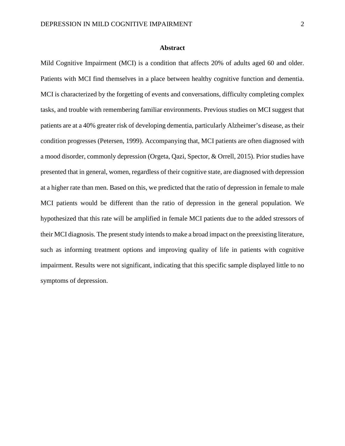### **Abstract**

Mild Cognitive Impairment (MCI) is a condition that affects 20% of adults aged 60 and older. Patients with MCI find themselves in a place between healthy cognitive function and dementia. MCI is characterized by the forgetting of events and conversations, difficulty completing complex tasks, and trouble with remembering familiar environments. Previous studies on MCI suggest that patients are at a 40% greater risk of developing dementia, particularly Alzheimer's disease, as their condition progresses (Petersen, 1999). Accompanying that, MCI patients are often diagnosed with a mood disorder, commonly depression (Orgeta, Qazi, Spector, & Orrell, 2015). Prior studies have presented that in general, women, regardless of their cognitive state, are diagnosed with depression at a higher rate than men. Based on this, we predicted that the ratio of depression in female to male MCI patients would be different than the ratio of depression in the general population. We hypothesized that this rate will be amplified in female MCI patients due to the added stressors of their MCI diagnosis. The present study intends to make a broad impact on the preexisting literature, such as informing treatment options and improving quality of life in patients with cognitive impairment. Results were not significant, indicating that this specific sample displayed little to no symptoms of depression.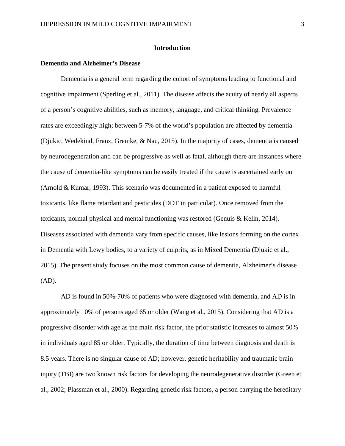## **Introduction**

## **Dementia and Alzheimer's Disease**

Dementia is a general term regarding the cohort of symptoms leading to functional and cognitive impairment (Sperling et al., 2011). The disease affects the acuity of nearly all aspects of a person's cognitive abilities, such as memory, language, and critical thinking. Prevalence rates are exceedingly high; between 5-7% of the world's population are affected by dementia (Djukic, Wedekind, Franz, Gremke, & Nau, 2015). In the majority of cases, dementia is caused by neurodegeneration and can be progressive as well as fatal, although there are instances where the cause of dementia-like symptoms can be easily treated if the cause is ascertained early on (Arnold & Kumar, 1993). This scenario was documented in a patient exposed to harmful toxicants, like flame retardant and pesticides (DDT in particular). Once removed from the toxicants, normal physical and mental functioning was restored (Genuis & Kelln, 2014). Diseases associated with dementia vary from specific causes, like lesions forming on the cortex in Dementia with Lewy bodies, to a variety of culprits, as in Mixed Dementia (Djukic et al., 2015). The present study focuses on the most common cause of dementia, Alzheimer's disease (AD).

AD is found in 50%-70% of patients who were diagnosed with dementia, and AD is in approximately 10% of persons aged 65 or older (Wang et al., 2015). Considering that AD is a progressive disorder with age as the main risk factor, the prior statistic increases to almost 50% in individuals aged 85 or older. Typically, the duration of time between diagnosis and death is 8.5 years. There is no singular cause of AD; however, genetic heritability and traumatic brain injury (TBI) are two known risk factors for developing the neurodegenerative disorder (Green et al., 2002; Plassman et al., 2000). Regarding genetic risk factors, a person carrying the hereditary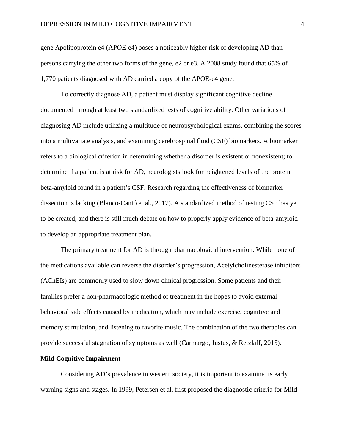gene Apolipoprotein e4 (APOE-e4) poses a noticeably higher risk of developing AD than persons carrying the other two forms of the gene, e2 or e3. A 2008 study found that 65% of 1,770 patients diagnosed with AD carried a copy of the APOE-e4 gene.

To correctly diagnose AD, a patient must display significant cognitive decline documented through at least two standardized tests of cognitive ability. Other variations of diagnosing AD include utilizing a multitude of neuropsychological exams, combining the scores into a multivariate analysis, and examining cerebrospinal fluid (CSF) biomarkers. A biomarker refers to a biological criterion in determining whether a disorder is existent or nonexistent; to determine if a patient is at risk for AD, neurologists look for heightened levels of the protein beta-amyloid found in a patient's CSF. Research regarding the effectiveness of biomarker dissection is lacking (Blanco-Cantó et al., 2017). A standardized method of testing CSF has yet to be created, and there is still much debate on how to properly apply evidence of beta-amyloid to develop an appropriate treatment plan.

The primary treatment for AD is through pharmacological intervention. While none of the medications available can reverse the disorder's progression, Acetylcholinesterase inhibitors (AChEIs) are commonly used to slow down clinical progression. Some patients and their families prefer a non-pharmacologic method of treatment in the hopes to avoid external behavioral side effects caused by medication, which may include exercise, cognitive and memory stimulation, and listening to favorite music. The combination of the two therapies can provide successful stagnation of symptoms as well (Carmargo, Justus, & Retzlaff, 2015).

## **Mild Cognitive Impairment**

Considering AD's prevalence in western society, it is important to examine its early warning signs and stages. In 1999, Petersen et al. first proposed the diagnostic criteria for Mild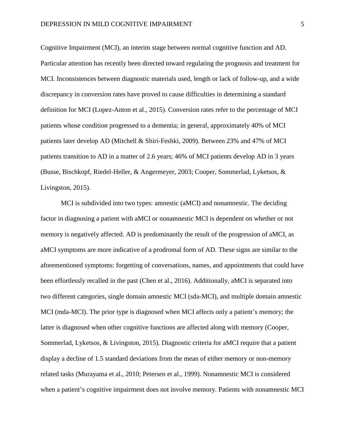Cognitive Impairment (MCI), an interim stage between normal cognitive function and AD. Particular attention has recently been directed toward regulating the prognosis and treatment for MCI. Inconsistences between diagnostic materials used, length or lack of follow-up, and a wide discrepancy in conversion rates have proved to cause difficulties in determining a standard definition for MCI (Lopez-Anton et al., 2015). Conversion rates refer to the percentage of MCI patients whose condition progressed to a dementia; in general, approximately 40% of MCI patients later develop AD (Mitchell & Shiri-Feshki, 2009). Between 23% and 47% of MCI patients transition to AD in a matter of 2.6 years; 46% of MCI patients develop AD in 3 years (Busse, Bischkopf, Riedel-Heller, & Angermeyer, 2003; Cooper, Sommerlad, Lyketsos, & Livingston, 2015).

MCI is subdivided into two types: amnestic (aMCI) and nonamnestic. The deciding factor in diagnosing a patient with aMCI or nonamnestic MCI is dependent on whether or not memory is negatively affected. AD is predominantly the result of the progression of aMCI, as aMCI symptoms are more indicative of a prodromal form of AD. These signs are similar to the aforementioned symptoms: forgetting of conversations, names, and appointments that could have been effortlessly recalled in the past (Chen et al., 2016). Additionally, aMCI is separated into two different categories, single domain amnestic MCI (sda-MCI), and multiple domain amnestic MCI (mda-MCI). The prior type is diagnosed when MCI affects only a patient's memory; the latter is diagnosed when other cognitive functions are affected along with memory (Cooper, Sommerlad, Lyketsos, & Livingston, 2015). Diagnostic criteria for aMCI require that a patient display a decline of 1.5 standard deviations from the mean of either memory or non-memory related tasks (Murayama et al., 2010; Petersen et al., 1999). Nonamnestic MCI is considered when a patient's cognitive impairment does not involve memory. Patients with nonamnestic MCI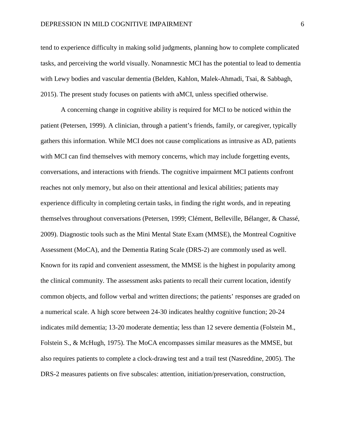tend to experience difficulty in making solid judgments, planning how to complete complicated tasks, and perceiving the world visually. Nonamnestic MCI has the potential to lead to dementia with Lewy bodies and vascular dementia (Belden, Kahlon, Malek-Ahmadi, Tsai, & Sabbagh, 2015). The present study focuses on patients with aMCI, unless specified otherwise.

A concerning change in cognitive ability is required for MCI to be noticed within the patient (Petersen, 1999). A clinician, through a patient's friends, family, or caregiver, typically gathers this information. While MCI does not cause complications as intrusive as AD, patients with MCI can find themselves with memory concerns, which may include forgetting events, conversations, and interactions with friends. The cognitive impairment MCI patients confront reaches not only memory, but also on their attentional and lexical abilities; patients may experience difficulty in completing certain tasks, in finding the right words, and in repeating themselves throughout conversations (Petersen, 1999; Clément, Belleville, Bélanger, & Chassé, 2009). Diagnostic tools such as the Mini Mental State Exam (MMSE), the Montreal Cognitive Assessment (MoCA), and the Dementia Rating Scale (DRS-2) are commonly used as well. Known for its rapid and convenient assessment, the MMSE is the highest in popularity among the clinical community. The assessment asks patients to recall their current location, identify common objects, and follow verbal and written directions; the patients' responses are graded on a numerical scale. A high score between 24-30 indicates healthy cognitive function; 20-24 indicates mild dementia; 13-20 moderate dementia; less than 12 severe dementia (Folstein M., Folstein S., & McHugh, 1975). The MoCA encompasses similar measures as the MMSE, but also requires patients to complete a clock-drawing test and a trail test (Nasreddine, 2005). The DRS-2 measures patients on five subscales: attention, initiation/preservation, construction,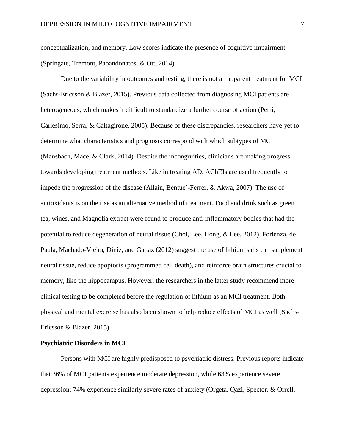conceptualization, and memory. Low scores indicate the presence of cognitive impairment (Springate, Tremont, Papandonatos, & Ott, 2014).

Due to the variability in outcomes and testing, there is not an apparent treatment for MCI (Sachs-Ericsson & Blazer, 2015). Previous data collected from diagnosing MCI patients are heterogeneous, which makes it difficult to standardize a further course of action (Perri, Carlesimo, Serra, & Caltagirone, 2005). Because of these discrepancies, researchers have yet to determine what characteristics and prognosis correspond with which subtypes of MCI (Mansbach, Mace, & Clark, 2014). Despite the incongruities, clinicians are making progress towards developing treatment methods. Like in treating AD, AChEIs are used frequently to impede the progression of the disease (Allain, Bentue´-Ferrer, & Akwa, 2007). The use of antioxidants is on the rise as an alternative method of treatment. Food and drink such as green tea, wines, and Magnolia extract were found to produce anti-inflammatory bodies that had the potential to reduce degeneration of neural tissue (Choi, Lee, Hong, & Lee, 2012). Forlenza, de Paula, Machado-Vieira, Diniz, and Gattaz (2012) suggest the use of lithium salts can supplement neural tissue, reduce apoptosis (programmed cell death), and reinforce brain structures crucial to memory, like the hippocampus. However, the researchers in the latter study recommend more clinical testing to be completed before the regulation of lithium as an MCI treatment. Both physical and mental exercise has also been shown to help reduce effects of MCI as well (Sachs-Ericsson & Blazer, 2015).

## **Psychiatric Disorders in MCI**

Persons with MCI are highly predisposed to psychiatric distress. Previous reports indicate that 36% of MCI patients experience moderate depression, while 63% experience severe depression; 74% experience similarly severe rates of anxiety (Orgeta, Qazi, Spector, & Orrell,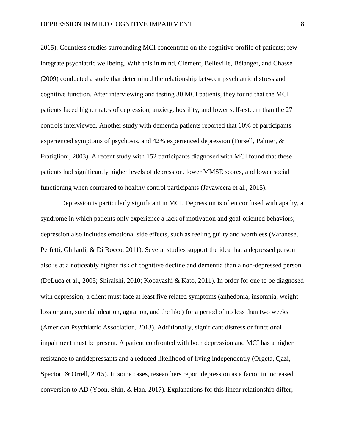2015). Countless studies surrounding MCI concentrate on the cognitive profile of patients; few integrate psychiatric wellbeing. With this in mind, Clément, Belleville, Bélanger, and Chassé (2009) conducted a study that determined the relationship between psychiatric distress and cognitive function. After interviewing and testing 30 MCI patients, they found that the MCI patients faced higher rates of depression, anxiety, hostility, and lower self-esteem than the 27 controls interviewed. Another study with dementia patients reported that 60% of participants experienced symptoms of psychosis, and 42% experienced depression (Forsell, Palmer, & Fratiglioni, 2003). A recent study with 152 participants diagnosed with MCI found that these patients had significantly higher levels of depression, lower MMSE scores, and lower social functioning when compared to healthy control participants (Jayaweera et al., 2015).

Depression is particularly significant in MCI. Depression is often confused with apathy, a syndrome in which patients only experience a lack of motivation and goal-oriented behaviors; depression also includes emotional side effects, such as feeling guilty and worthless (Varanese, Perfetti, Ghilardi, & Di Rocco, 2011). Several studies support the idea that a depressed person also is at a noticeably higher risk of cognitive decline and dementia than a non-depressed person (DeLuca et al., 2005; Shiraishi, 2010; Kobayashi & Kato, 2011). In order for one to be diagnosed with depression, a client must face at least five related symptoms (anhedonia, insomnia, weight loss or gain, suicidal ideation, agitation, and the like) for a period of no less than two weeks (American Psychiatric Association, 2013). Additionally, significant distress or functional impairment must be present. A patient confronted with both depression and MCI has a higher resistance to antidepressants and a reduced likelihood of living independently (Orgeta, Qazi, Spector, & Orrell, 2015). In some cases, researchers report depression as a factor in increased conversion to AD (Yoon, Shin, & Han, 2017). Explanations for this linear relationship differ;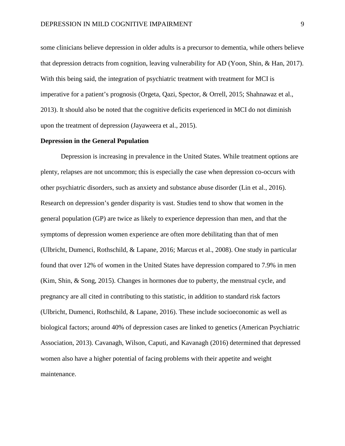some clinicians believe depression in older adults is a precursor to dementia, while others believe that depression detracts from cognition, leaving vulnerability for AD (Yoon, Shin, & Han, 2017). With this being said, the integration of psychiatric treatment with treatment for MCI is imperative for a patient's prognosis (Orgeta, Qazi, Spector, & Orrell, 2015; Shahnawaz et al., 2013). It should also be noted that the cognitive deficits experienced in MCI do not diminish upon the treatment of depression (Jayaweera et al., 2015).

## **Depression in the General Population**

Depression is increasing in prevalence in the United States. While treatment options are plenty, relapses are not uncommon; this is especially the case when depression co-occurs with other psychiatric disorders, such as anxiety and substance abuse disorder (Lin et al., 2016). Research on depression's gender disparity is vast. Studies tend to show that women in the general population (GP) are twice as likely to experience depression than men, and that the symptoms of depression women experience are often more debilitating than that of men (Ulbricht, Dumenci, Rothschild, & Lapane, 2016; Marcus et al., 2008). One study in particular found that over 12% of women in the United States have depression compared to 7.9% in men (Kim, Shin, & Song, 2015). Changes in hormones due to puberty, the menstrual cycle, and pregnancy are all cited in contributing to this statistic, in addition to standard risk factors (Ulbricht, Dumenci, Rothschild, & Lapane, 2016). These include socioeconomic as well as biological factors; around 40% of depression cases are linked to genetics (American Psychiatric Association, 2013). Cavanagh, Wilson, Caputi, and Kavanagh (2016) determined that depressed women also have a higher potential of facing problems with their appetite and weight maintenance.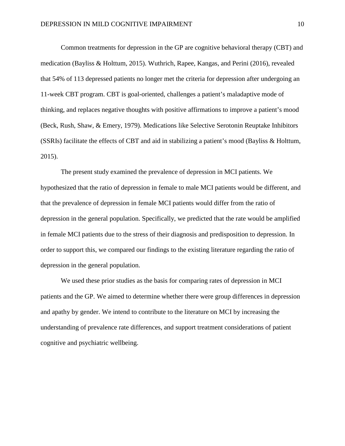Common treatments for depression in the GP are cognitive behavioral therapy (CBT) and medication (Bayliss & Holttum, 2015). Wuthrich, Rapee, Kangas, and Perini (2016), revealed that 54% of 113 depressed patients no longer met the criteria for depression after undergoing an 11-week CBT program. CBT is goal-oriented, challenges a patient's maladaptive mode of thinking, and replaces negative thoughts with positive affirmations to improve a patient's mood (Beck, Rush, Shaw, & Emery, 1979). Medications like Selective Serotonin Reuptake Inhibitors (SSRIs) facilitate the effects of CBT and aid in stabilizing a patient's mood (Bayliss & Holttum, 2015).

The present study examined the prevalence of depression in MCI patients. We hypothesized that the ratio of depression in female to male MCI patients would be different, and that the prevalence of depression in female MCI patients would differ from the ratio of depression in the general population. Specifically, we predicted that the rate would be amplified in female MCI patients due to the stress of their diagnosis and predisposition to depression. In order to support this, we compared our findings to the existing literature regarding the ratio of depression in the general population.

We used these prior studies as the basis for comparing rates of depression in MCI patients and the GP. We aimed to determine whether there were group differences in depression and apathy by gender. We intend to contribute to the literature on MCI by increasing the understanding of prevalence rate differences, and support treatment considerations of patient cognitive and psychiatric wellbeing.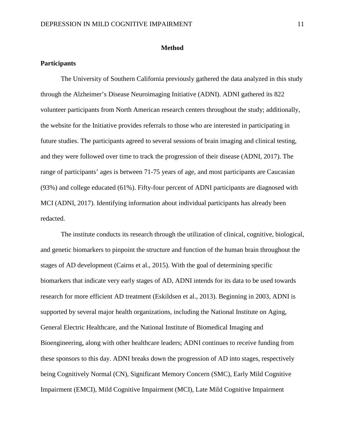#### **Method**

## **Participants**

The University of Southern California previously gathered the data analyzed in this study through the Alzheimer's Disease Neuroimaging Initiative (ADNI). ADNI gathered its 822 volunteer participants from North American research centers throughout the study; additionally, the website for the Initiative provides referrals to those who are interested in participating in future studies. The participants agreed to several sessions of brain imaging and clinical testing, and they were followed over time to track the progression of their disease (ADNI, 2017). The range of participants' ages is between 71-75 years of age, and most participants are Caucasian (93%) and college educated (61%). Fifty-four percent of ADNI participants are diagnosed with MCI (ADNI, 2017). Identifying information about individual participants has already been redacted.

The institute conducts its research through the utilization of clinical, cognitive, biological, and genetic biomarkers to pinpoint the structure and function of the human brain throughout the stages of AD development (Cairns et al., 2015). With the goal of determining specific biomarkers that indicate very early stages of AD, ADNI intends for its data to be used towards research for more efficient AD treatment (Eskildsen et al., 2013). Beginning in 2003, ADNI is supported by several major health organizations, including the National Institute on Aging, General Electric Healthcare, and the National Institute of Biomedical Imaging and Bioengineering, along with other healthcare leaders; ADNI continues to receive funding from these sponsors to this day. ADNI breaks down the progression of AD into stages, respectively being Cognitively Normal (CN), Significant Memory Concern (SMC), Early Mild Cognitive Impairment (EMCI), Mild Cognitive Impairment (MCI), Late Mild Cognitive Impairment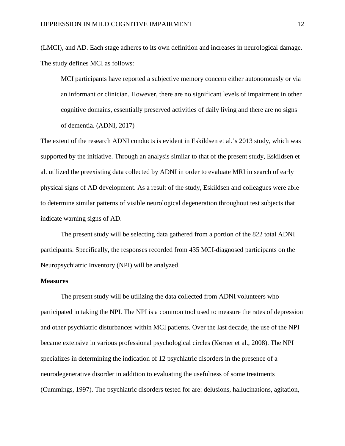(LMCI), and AD. Each stage adheres to its own definition and increases in neurological damage. The study defines MCI as follows:

MCI participants have reported a subjective memory concern either autonomously or via an informant or clinician. However, there are no significant levels of impairment in other cognitive domains, essentially preserved activities of daily living and there are no signs of dementia. (ADNI, 2017)

The extent of the research ADNI conducts is evident in Eskildsen et al.'s 2013 study, which was supported by the initiative. Through an analysis similar to that of the present study, Eskildsen et al. utilized the preexisting data collected by ADNI in order to evaluate MRI in search of early physical signs of AD development. As a result of the study, Eskildsen and colleagues were able to determine similar patterns of visible neurological degeneration throughout test subjects that indicate warning signs of AD.

The present study will be selecting data gathered from a portion of the 822 total ADNI participants. Specifically, the responses recorded from 435 MCI-diagnosed participants on the Neuropsychiatric Inventory (NPI) will be analyzed.

## **Measures**

The present study will be utilizing the data collected from ADNI volunteers who participated in taking the NPI. The NPI is a common tool used to measure the rates of depression and other psychiatric disturbances within MCI patients. Over the last decade, the use of the NPI became extensive in various professional psychological circles (Kørner et al., 2008). The NPI specializes in determining the indication of 12 psychiatric disorders in the presence of a neurodegenerative disorder in addition to evaluating the usefulness of some treatments (Cummings, 1997). The psychiatric disorders tested for are: delusions, hallucinations, agitation,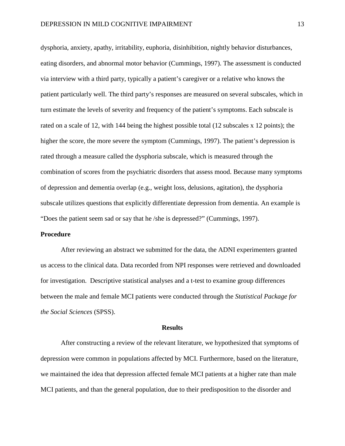dysphoria, anxiety, apathy, irritability, euphoria, disinhibition, nightly behavior disturbances, eating disorders, and abnormal motor behavior (Cummings, 1997). The assessment is conducted via interview with a third party, typically a patient's caregiver or a relative who knows the patient particularly well. The third party's responses are measured on several subscales, which in turn estimate the levels of severity and frequency of the patient's symptoms. Each subscale is rated on a scale of 12, with 144 being the highest possible total (12 subscales x 12 points); the higher the score, the more severe the symptom (Cummings, 1997). The patient's depression is rated through a measure called the dysphoria subscale, which is measured through the combination of scores from the psychiatric disorders that assess mood. Because many symptoms of depression and dementia overlap (e.g., weight loss, delusions, agitation), the dysphoria subscale utilizes questions that explicitly differentiate depression from dementia. An example is "Does the patient seem sad or say that he /she is depressed?" (Cummings, 1997).

#### **Procedure**

After reviewing an abstract we submitted for the data, the ADNI experimenters granted us access to the clinical data. Data recorded from NPI responses were retrieved and downloaded for investigation. Descriptive statistical analyses and a t-test to examine group differences between the male and female MCI patients were conducted through the *Statistical Package for the Social Sciences* (SPSS).

#### **Results**

After constructing a review of the relevant literature, we hypothesized that symptoms of depression were common in populations affected by MCI. Furthermore, based on the literature, we maintained the idea that depression affected female MCI patients at a higher rate than male MCI patients, and than the general population, due to their predisposition to the disorder and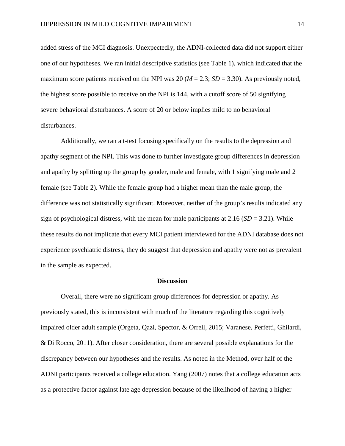added stress of the MCI diagnosis. Unexpectedly, the ADNI-collected data did not support either one of our hypotheses. We ran initial descriptive statistics (see Table 1), which indicated that the maximum score patients received on the NPI was 20 ( $M = 2.3$ ;  $SD = 3.30$ ). As previously noted, the highest score possible to receive on the NPI is 144, with a cutoff score of 50 signifying severe behavioral disturbances. A score of 20 or below implies mild to no behavioral disturbances.

Additionally, we ran a t-test focusing specifically on the results to the depression and apathy segment of the NPI. This was done to further investigate group differences in depression and apathy by splitting up the group by gender, male and female, with 1 signifying male and 2 female (see Table 2). While the female group had a higher mean than the male group, the difference was not statistically significant. Moreover, neither of the group's results indicated any sign of psychological distress, with the mean for male participants at 2.16 (*SD* = 3.21). While these results do not implicate that every MCI patient interviewed for the ADNI database does not experience psychiatric distress, they do suggest that depression and apathy were not as prevalent in the sample as expected.

#### **Discussion**

Overall, there were no significant group differences for depression or apathy. As previously stated, this is inconsistent with much of the literature regarding this cognitively impaired older adult sample (Orgeta, Qazi, Spector, & Orrell, 2015; Varanese, Perfetti, Ghilardi, & Di Rocco, 2011). After closer consideration, there are several possible explanations for the discrepancy between our hypotheses and the results. As noted in the Method, over half of the ADNI participants received a college education. Yang (2007) notes that a college education acts as a protective factor against late age depression because of the likelihood of having a higher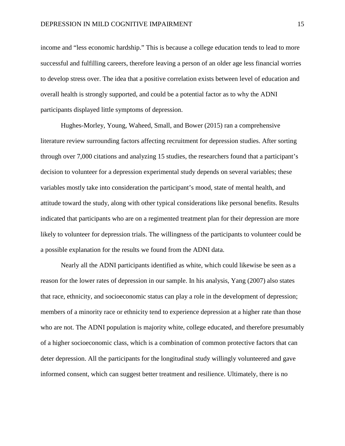income and "less economic hardship." This is because a college education tends to lead to more successful and fulfilling careers, therefore leaving a person of an older age less financial worries to develop stress over. The idea that a positive correlation exists between level of education and overall health is strongly supported, and could be a potential factor as to why the ADNI participants displayed little symptoms of depression.

Hughes-Morley, Young, Waheed, Small, and Bower (2015) ran a comprehensive literature review surrounding factors affecting recruitment for depression studies. After sorting through over 7,000 citations and analyzing 15 studies, the researchers found that a participant's decision to volunteer for a depression experimental study depends on several variables; these variables mostly take into consideration the participant's mood, state of mental health, and attitude toward the study, along with other typical considerations like personal benefits. Results indicated that participants who are on a regimented treatment plan for their depression are more likely to volunteer for depression trials. The willingness of the participants to volunteer could be a possible explanation for the results we found from the ADNI data.

Nearly all the ADNI participants identified as white, which could likewise be seen as a reason for the lower rates of depression in our sample. In his analysis, Yang (2007) also states that race, ethnicity, and socioeconomic status can play a role in the development of depression; members of a minority race or ethnicity tend to experience depression at a higher rate than those who are not. The ADNI population is majority white, college educated, and therefore presumably of a higher socioeconomic class, which is a combination of common protective factors that can deter depression. All the participants for the longitudinal study willingly volunteered and gave informed consent, which can suggest better treatment and resilience. Ultimately, there is no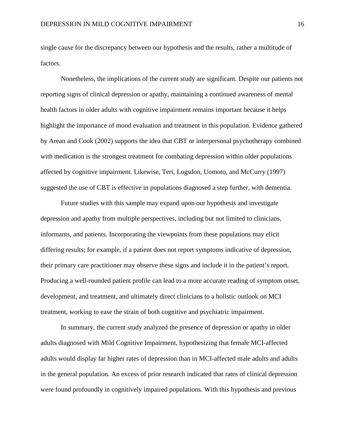single cause for the discrepancy between our hypothesis and the results, rather a multitude of factors.

Nonetheless, the implications of the current study are significant. Despite our patients not reporting signs of clinical depression or apathy, maintaining a continued awareness of mental health factors in older adults with cognitive impairment remains important because it helps highlight the importance of mood evaluation and treatment in this population. Evidence gathered by Arean and Cook (2002) supports the idea that CBT or interpersonal psychotherapy combined with medication is the strongest treatment for combating depression within older populations affected by cognitive impairment. Likewise, Teri, Logsdon, Uomoto, and McCurry (1997) suggested the use of CBT is effective in populations diagnosed a step further, with dementia.

Future studies with this sample may expand upon our hypothesis and investigate depression and apathy from multiple perspectives, including but not limited to clinicians, informants, and patients. Incorporating the viewpoints from these populations may elicit differing results; for example, if a patient does not report symptoms indicative of depression, their primary care practitioner may observe these signs and include it in the patient's report. Producing a well-rounded patient profile can lead to a more accurate reading of symptom onset, development, and treatment, and ultimately direct clinicians to a holistic outlook on MCI treatment, working to ease the strain of both cognitive and psychiatric impairment.

In summary, the current study analyzed the presence of depression or apathy in older adults diagnosed with Mild Cognitive Impairment, hypothesizing that female MCI-affected adults would display far higher rates of depression than in MCI-affected male adults and adults in the general population. An excess of prior research indicated that rates of clinical depression were found profoundly in cognitively impaired populations. With this hypothesis and previous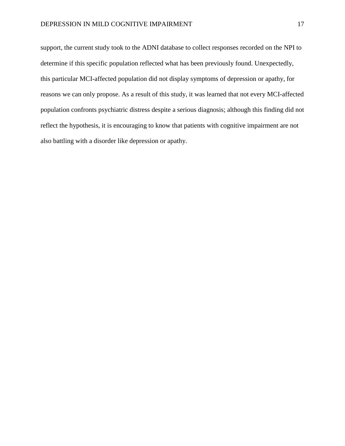support, the current study took to the ADNI database to collect responses recorded on the NPI to determine if this specific population reflected what has been previously found. Unexpectedly, this particular MCI-affected population did not display symptoms of depression or apathy, for reasons we can only propose. As a result of this study, it was learned that not every MCI-affected population confronts psychiatric distress despite a serious diagnosis; although this finding did not reflect the hypothesis, it is encouraging to know that patients with cognitive impairment are not also battling with a disorder like depression or apathy.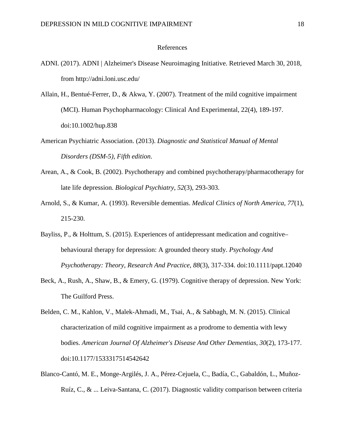## References

- ADNI. (2017). ADNI | Alzheimer's Disease Neuroimaging Initiative. Retrieved March 30, 2018, from http://adni.loni.usc.edu/
- Allain, H., Bentué-Ferrer, D., & Akwa, Y. (2007). Treatment of the mild cognitive impairment (MCI). Human Psychopharmacology: Clinical And Experimental, 22(4), 189-197. doi:10.1002/hup.838
- American Psychiatric Association. (2013). *Diagnostic and Statistical Manual of Mental Disorders (DSM-5), Fifth edition*.
- Arean, A., & Cook, B. (2002). Psychotherapy and combined psychotherapy/pharmacotherapy for late life depression. *Biological Psychiatry*, *52*(3), 293-303.
- Arnold, S., & Kumar, A. (1993). Reversible dementias. *Medical Clinics of North America, 77*(1), 215-230.
- Bayliss, P., & Holttum, S. (2015). Experiences of antidepressant medication and cognitive– behavioural therapy for depression: A grounded theory study. *Psychology And Psychotherapy: Theory, Research And Practice*, *88*(3), 317-334. doi:10.1111/papt.12040
- Beck, A., Rush, A., Shaw, B., & Emery, G. (1979). Cognitive therapy of depression. New York: The Guilford Press.
- Belden, C. M., Kahlon, V., Malek-Ahmadi, M., Tsai, A., & Sabbagh, M. N. (2015). Clinical characterization of mild cognitive impairment as a prodrome to dementia with lewy bodies. *American Journal Of Alzheimer's Disease And Other Dementias*, *30*(2), 173-177. doi:10.1177/1533317514542642
- Blanco-Cantó, M. E., Monge-Argilés, J. A., Pérez-Cejuela, C., Badía, C., Gabaldón, L., Muñoz-Ruíz, C., & ... Leiva-Santana, C. (2017). Diagnostic validity comparison between criteria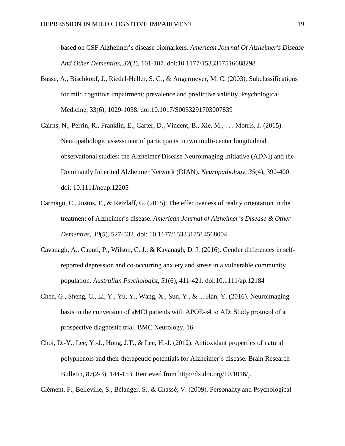based on CSF Alzheimer's disease biomarkers. *American Journal Of Alzheimer's Disease And Other Dementias*, *32*(2), 101-107. doi:10.1177/1533317516688298

- Busse, A., Bischkopf, J., Riedel-Heller, S. G., & Angermeyer, M. C. (2003). Subclassifications for mild cognitive impairment: prevalence and predictive validity. Psychological Medicine, 33(6), 1029-1038. doi:10.1017/S0033291703007839
- Cairns, N., Perrin, R., Franklin, E., Carter, D., Vincent, B., Xie, M., . . . Morris, J. (2015). Neuropathologic assessment of participants in two multi-center longitudinal observational studies: the Alzheimer Disease Neuroimaging Initiative (ADNI) and the Dominantly Inherited Alzheimer Network (DIAN). *Neuropathology, 35*(4), 390-400. doi: 10.1111/neup.12205
- Carmago, C., Justus, F., & Retzlaff, G. (2015). The effectiveness of reality orientation in the treatment of Alzheimer's disease. *American Journal of Alzheimer's Disease & Other Dementias, 30*(5), 527-532. doi: 10.1177/1533317514568004
- Cavanagh, A., Caputi, P., Wilson, C. J., & Kavanagh, D. J. (2016). Gender differences in selfreported depression and co-occurring anxiety and stress in a vulnerable community population. *Australian Psychologist*, *51*(6), 411-421. doi:10.1111/ap.12184
- Chen, G., Sheng, C., Li, Y., Yu, Y., Wang, X., Sun, Y., & ... Han, Y. (2016). Neuroimaging basis in the conversion of aMCI patients with APOE-ε4 to AD: Study protocol of a prospective diagnostic trial. BMC Neurology, 16.
- Choi, D.-Y., Lee, Y.-J., Hong, J.T., & Lee, H.-J. (2012). Antioxidant properties of natural polyphenols and their therapeutic potentials for Alzheimer's disease. Brain Research Bulletin, 87(2-3), 144-153. Retrieved from http://dx.doi.org/10.1016/j.

Clément, F., Belleville, S., Bélanger, S., & Chassé, V. (2009). Personality and Psychological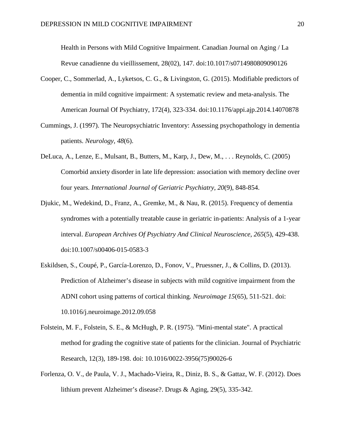Health in Persons with Mild Cognitive Impairment. Canadian Journal on Aging / La Revue canadienne du vieillissement, 28(02), 147. doi:10.1017/s0714980809090126

- Cooper, C., Sommerlad, A., Lyketsos, C. G., & Livingston, G. (2015). Modifiable predictors of dementia in mild cognitive impairment: A systematic review and meta-analysis. The American Journal Of Psychiatry, 172(4), 323-334. doi:10.1176/appi.ajp.2014.14070878
- Cummings, J. (1997). The Neuropsychiatric Inventory: Assessing psychopathology in dementia patients. *Neurology, 48*(6).
- DeLuca, A., Lenze, E., Mulsant, B., Butters, M., Karp, J., Dew, M., . . . Reynolds, C. (2005) Comorbid anxiety disorder in late life depression: association with memory decline over four years. *International Journal of Geriatric Psychiatry, 20*(9), 848-854.
- Djukic, M., Wedekind, D., Franz, A., Gremke, M., & Nau, R. (2015). Frequency of dementia syndromes with a potentially treatable cause in geriatric in-patients: Analysis of a 1-year interval. *European Archives Of Psychiatry And Clinical Neuroscience*, *265*(5), 429-438. doi:10.1007/s00406-015-0583-3
- Eskildsen, S., Coupé, P., García-Lorenzo, D., Fonov, V., Pruessner, J., & Collins, D. (2013). Prediction of Alzheimer's disease in subjects with mild cognitive impairment from the ADNI cohort using patterns of cortical thinking. *Neuroimage 15*(65), 511-521. doi: 10.1016/j.neuroimage.2012.09.058
- Folstein, M. F., Folstein, S. E., & McHugh, P. R. (1975). "Mini-mental state". A practical method for grading the cognitive state of patients for the clinician. Journal of Psychiatric Research, 12(3), 189-198. doi: 10.1016/0022-3956(75)90026-6
- Forlenza, O. V., de Paula, V. J., Machado-Vieira, R., Diniz, B. S., & Gattaz, W. F. (2012). Does lithium prevent Alzheimer's disease?. Drugs & Aging, 29(5), 335-342.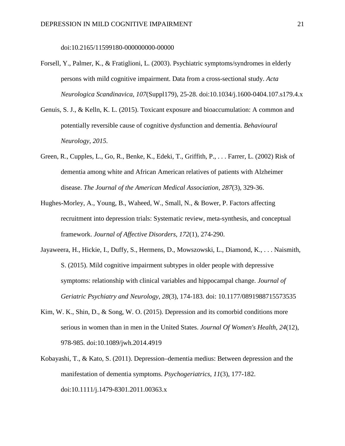doi:10.2165/11599180-000000000-00000

- Forsell, Y., Palmer, K., & Fratiglioni, L. (2003). Psychiatric symptoms/syndromes in elderly persons with mild cognitive impairment. Data from a cross-sectional study. *Acta Neurologica Scandinavica*, *107*(Suppl179), 25-28. doi:10.1034/j.1600-0404.107.s179.4.x
- Genuis, S. J., & Kelln, K. L. (2015). Toxicant exposure and bioaccumulation: A common and potentially reversible cause of cognitive dysfunction and dementia. *Behavioural Neurology*, *2015.*
- Green, R., Cupples, L., Go, R., Benke, K., Edeki, T., Griffith, P., . . . Farrer, L. (2002) Risk of dementia among white and African American relatives of patients with Alzheimer disease. *The Journal of the American Medical Association, 287*(3), 329-36.
- Hughes-Morley, A., Young, B., Waheed, W., Small, N., & Bower, P. Factors affecting recruitment into depression trials: Systematic review, meta-synthesis, and conceptual framework. *Journal of Affective Disorders, 172*(1), 274-290.
- Jayaweera, H., Hickie, I., Duffy, S., Hermens, D., Mowszowski, L., Diamond, K., . . . Naismith, S. (2015). Mild cognitive impairment subtypes in older people with depressive symptoms: relationship with clinical variables and hippocampal change. *Journal of Geriatric Psychiatry and Neurology, 28*(3), 174-183. doi: 10.1177/0891988715573535
- Kim, W. K., Shin, D., & Song, W. O. (2015). Depression and its comorbid conditions more serious in women than in men in the United States. *Journal Of Women's Health*, *24*(12), 978-985. doi:10.1089/jwh.2014.4919
- Kobayashi, T., & Kato, S. (2011). Depression–dementia medius: Between depression and the manifestation of dementia symptoms. *Psychogeriatrics*, *11*(3), 177-182. doi:10.1111/j.1479-8301.2011.00363.x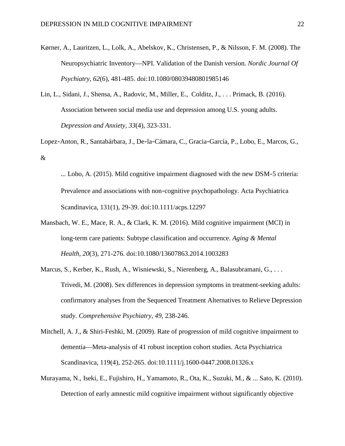- Kørner, A., Lauritzen, L., Lolk, A., Abelskov, K., Christensen, P., & Nilsson, F. M. (2008). The Neuropsychiatric Inventory—NPI. Validation of the Danish version. *Nordic Journal Of Psychiatry*, *62*(6), 481-485. doi:10.1080/08039480801985146
- Lin, L., Sidani, J., Shensa, A., Radovic, M., Miller, E., Colditz, J., . . . Primack, B. (2016). Association between social media use and depression among U.S. young adults. *Depression and Anxiety, 33*(4), 323-331.
- Lopez‐Anton, R., Santabárbara, J., De‐la‐Cámara, C., Gracia‐García, P., Lobo, E., Marcos, G., &
	- ... Lobo, A. (2015). Mild cognitive impairment diagnosed with the new DSM‐5 criteria: Prevalence and associations with non-cognitive psychopathology. Acta Psychiatrica Scandinavica, 131(1), 29-39. doi:10.1111/acps.12297
- Mansbach, W. E., Mace, R. A., & Clark, K. M. (2016). Mild cognitive impairment (MCI) in long-term care patients: Subtype classification and occurrence. *Aging & Mental Health*, *20*(3), 271-276. doi:10.1080/13607863.2014.1003283
- Marcus, S., Kerber, K., Rush, A., Wisniewski, S., Nierenberg, A., Balasubramani, G., . . . Trivedi, M. (2008). Sex differences in depression symptoms in treatment-seeking adults: confirmatory analyses from the Sequenced Treatment Alternatives to Relieve Depression study. *Comprehensive Psychiatry, 49*, 238-246.
- Mitchell, A. J., & Shiri-Feshki, M. (2009). Rate of progression of mild cognitive impairment to dementia—Meta-analysis of 41 robust inception cohort studies. Acta Psychiatrica Scandinavica, 119(4), 252-265. doi:10.1111/j.1600-0447.2008.01326.x
- Murayama, N., Iseki, E., Fujishiro, H., Yamamoto, R., Ota, K., Suzuki, M., & ... Sato, K. (2010). Detection of early amnestic mild cognitive impairment without significantly objective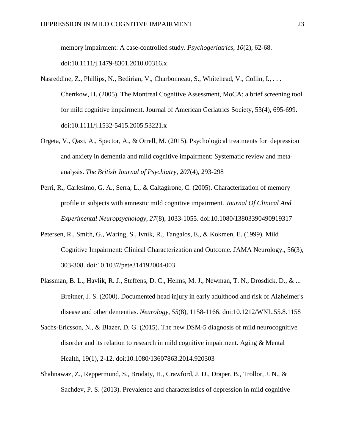memory impairment: A case-controlled study. *Psychogeriatrics*, *10*(2), 62-68. doi:10.1111/j.1479-8301.2010.00316.x

- Nasreddine, Z., Phillips, N., Bedirian, V., Charbonneau, S., Whitehead, V., Collin, I., ... Chertkow, H. (2005). The Montreal Cognitive Assessment, MoCA: a brief screening tool for mild cognitive impairment. Journal of American Geriatrics Society, 53(4), 695-699. doi:10.1111/j.1532-5415.2005.53221.x
- Orgeta, V., Qazi, A., Spector, A., & Orrell, M. (2015). Psychological treatments for depression and anxiety in dementia and mild cognitive impairment: Systematic review and metaanalysis. *The British Journal of Psychiatry, 207*(4), 293-298
- Perri, R., Carlesimo, G. A., Serra, L., & Caltagirone, C. (2005). Characterization of memory profile in subjects with amnestic mild cognitive impairment. *Journal Of Clinical And Experimental Neuropsychology*, *27*(8), 1033-1055. doi:10.1080/13803390490919317
- Petersen, R., Smith, G., Waring, S., Ivnik, R., Tangalos, E., & Kokmen, E. (1999). Mild Cognitive Impairment: Clinical Characterization and Outcome. JAMA Neurology., 56(3), 303-308. doi:10.1037/pete314192004-003
- Plassman, B. L., Havlik, R. J., Steffens, D. C., Helms, M. J., Newman, T. N., Drosdick, D., & ... Breitner, J. S. (2000). Documented head injury in early adulthood and risk of Alzheimer's disease and other dementias. *Neurology*, *55*(8), 1158-1166. doi:10.1212/WNL.55.8.1158
- Sachs-Ericsson, N., & Blazer, D. G. (2015). The new DSM-5 diagnosis of mild neurocognitive disorder and its relation to research in mild cognitive impairment. Aging & Mental Health, 19(1), 2-12. doi:10.1080/13607863.2014.920303
- Shahnawaz, Z., Reppermund, S., Brodaty, H., Crawford, J. D., Draper, B., Trollor, J. N., & Sachdev, P. S. (2013). Prevalence and characteristics of depression in mild cognitive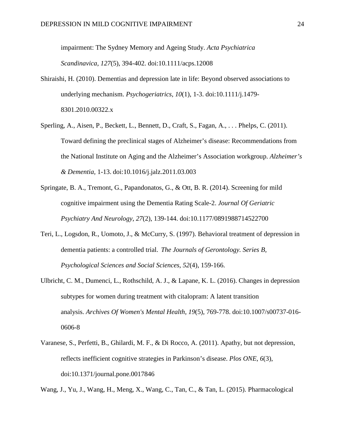impairment: The Sydney Memory and Ageing Study. *Acta Psychiatrica Scandinavica*, *127*(5), 394-402. doi:10.1111/acps.12008

- Shiraishi, H. (2010). Dementias and depression late in life: Beyond observed associations to underlying mechanism. *Psychogeriatrics*, *10*(1), 1-3. doi:10.1111/j.1479- 8301.2010.00322.x
- Sperling, A., Aisen, P., Beckett, L., Bennett, D., Craft, S., Fagan, A., ... Phelps, C. (2011). Toward defining the preclinical stages of Alzheimer's disease: Recommendations from the National Institute on Aging and the Alzheimer's Association workgroup. *Alzheimer's & Dementia,* 1-13. doi:10.1016/j.jalz.2011.03.003
- Springate, B. A., Tremont, G., Papandonatos, G., & Ott, B. R. (2014). Screening for mild cognitive impairment using the Dementia Rating Scale-2. *Journal Of Geriatric Psychiatry And Neurology*, *27*(2), 139-144. doi:10.1177/0891988714522700
- Teri, L., Logsdon, R., Uomoto, J., & McCurry, S. (1997). Behavioral treatment of depression in dementia patients: a controlled trial. *The Journals of Gerontology. Series B, Psychological Sciences and Social Sciences*, *52*(4), 159-166.
- Ulbricht, C. M., Dumenci, L., Rothschild, A. J., & Lapane, K. L. (2016). Changes in depression subtypes for women during treatment with citalopram: A latent transition analysis. *Archives Of Women's Mental Health*, *19*(5), 769-778. doi:10.1007/s00737-016- 0606-8
- Varanese, S., Perfetti, B., Ghilardi, M. F., & Di Rocco, A. (2011). Apathy, but not depression, reflects inefficient cognitive strategies in Parkinson's disease. *Plos ONE*, *6*(3), doi:10.1371/journal.pone.0017846
- Wang, J., Yu, J., Wang, H., Meng, X., Wang, C., Tan, C., & Tan, L. (2015). Pharmacological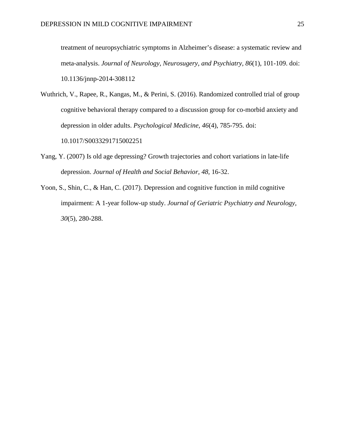treatment of neuropsychiatric symptoms in Alzheimer's disease: a systematic review and meta-analysis. *Journal of Neurology, Neurosugery, and Psychiatry, 86*(1), 101-109. doi: 10.1136/jnnp-2014-308112

- Wuthrich, V., Rapee, R., Kangas, M., & Perini, S. (2016). Randomized controlled trial of group cognitive behavioral therapy compared to a discussion group for co-morbid anxiety and depression in older adults. *Psychological Medicine, 46*(4), 785-795. doi: 10.1017/S0033291715002251
- Yang, Y. (2007) Is old age depressing? Growth trajectories and cohort variations in late-life depression. *Journal of Health and Social Behavior, 48,* 16-32.
- Yoon, S., Shin, C., & Han, C. (2017). Depression and cognitive function in mild cognitive impairment: A 1-year follow-up study. *Journal of Geriatric Psychiatry and Neurology, 30*(5), 280-288.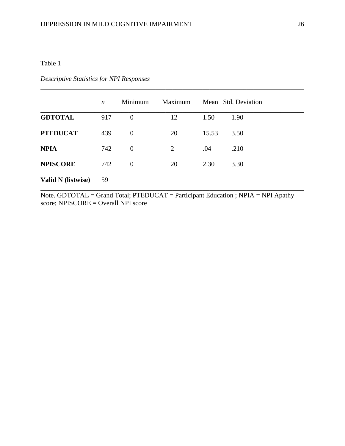# Table 1

|                    | $\boldsymbol{n}$ | Minimum        | Maximum        |       | Mean Std. Deviation |
|--------------------|------------------|----------------|----------------|-------|---------------------|
| <b>GDTOTAL</b>     | 917              | $\overline{0}$ | 12             | 1.50  | 1.90                |
| <b>PTEDUCAT</b>    | 439              | $\mathbf{0}$   | 20             | 15.53 | 3.50                |
| <b>NPIA</b>        | 742              | $\mathbf{0}$   | $\overline{2}$ | .04   | .210                |
| <b>NPISCORE</b>    | 742              | $\theta$       | 20             | 2.30  | 3.30                |
| Valid N (listwise) | 59               |                |                |       |                     |

\_\_\_\_\_\_\_\_\_\_\_\_\_\_\_\_\_\_\_\_\_\_\_\_\_\_\_\_\_\_\_\_\_\_\_\_\_\_\_\_\_\_\_\_\_\_\_\_\_\_\_\_\_\_\_\_\_\_\_\_\_\_\_\_\_\_\_\_\_\_\_\_\_\_\_\_\_\_

# *Descriptive Statistics for NPI Responses*

Note. GDTOTAL = Grand Total; PTEDUCAT = Participant Education ; NPIA = NPI Apathy score; NPISCORE = Overall NPI score